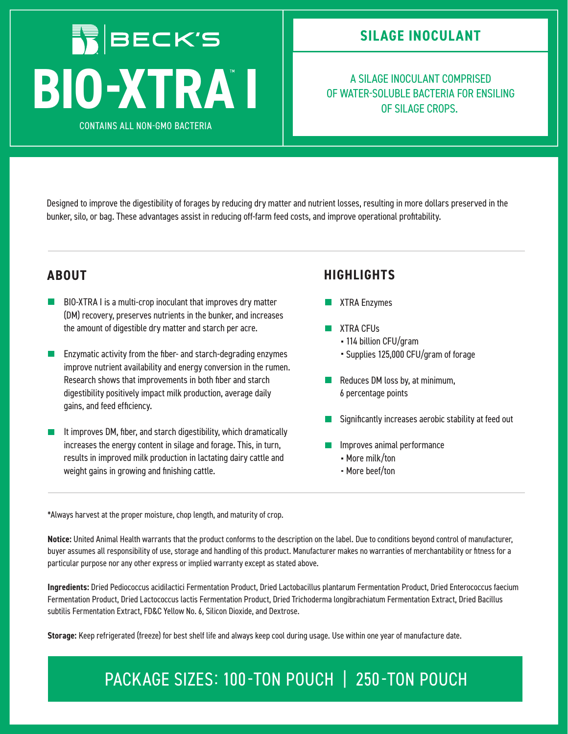# **IN BECK'S** A SILAGE INOCULANT COMPRISED<br>OF WATER-SOLUBLE BACTERIA FOR ENS<br>OF SILAGE CROPS.

**CONTAINS ALL NON-GMO BACTERIA** 

OF WATER-SOLUBLE BACTERIA FOR ENSILING OF SILAGE CROPS.

Designed to improve the digestibility of forages by reducing dry matter and nutrient losses, resulting in more dollars preserved in the bunker, silo, or bag. These advantages assist in reducing off-farm feed costs, and improve operational profitability.

- $\mathcal{L}_{\mathcal{A}}$ BIO-XTRA I is a multi-crop inoculant that improves dry matter (DM) recovery, preserves nutrients in the bunker, and increases the amount of digestible dry matter and starch per acre.
- Enzymatic activity from the fiber- and starch-degrading enzymes improve nutrient availability and energy conversion in the rumen. Research shows that improvements in both fiber and starch digestibility positively impact milk production, average daily gains, and feed efficiency.
- It improves DM, fiber, and starch digestibility, which dramatically increases the energy content in silage and forage. This, in turn, results in improved milk production in lactating dairy cattle and weight gains in growing and finishing cattle.

#### **ABOUT HIGHLIGHTS**

- **XTRA Enzymes**
- **XTRA CFUs** 
	- 114 billion CFU/gram
	- Supplies 125,000 CFU/gram of forage
- $\blacksquare$  Reduces DM loss by, at minimum, 6 percentage points
- Significantly increases aerobic stability at feed out
- **Improves animal performance** 
	- More milk/ton
	- More beef/ton

\*Always harvest at the proper moisture, chop length, and maturity of crop.

**Notice:** United Animal Health warrants that the product conforms to the description on the label. Due to conditions beyond control of manufacturer, buyer assumes all responsibility of use, storage and handling of this product. Manufacturer makes no warranties of merchantability or fitness for a particular purpose nor any other express or implied warranty except as stated above.

**Ingredients:** Dried Pediococcus acidilactici Fermentation Product, Dried Lactobacillus plantarum Fermentation Product, Dried Enterococcus faecium Fermentation Product, Dried Lactococcus lactis Fermentation Product, Dried Trichoderma longibrachiatum Fermentation Extract, Dried Bacillus subtilis Fermentation Extract, FD&C Yellow No. 6, Silicon Dioxide, and Dextrose.

**Storage:** Keep refrigerated (freeze) for best shelf life and always keep cool during usage. Use within one year of manufacture date.

### PACKAGE SIZES: 100-TON POUCH | 250-TON POUCH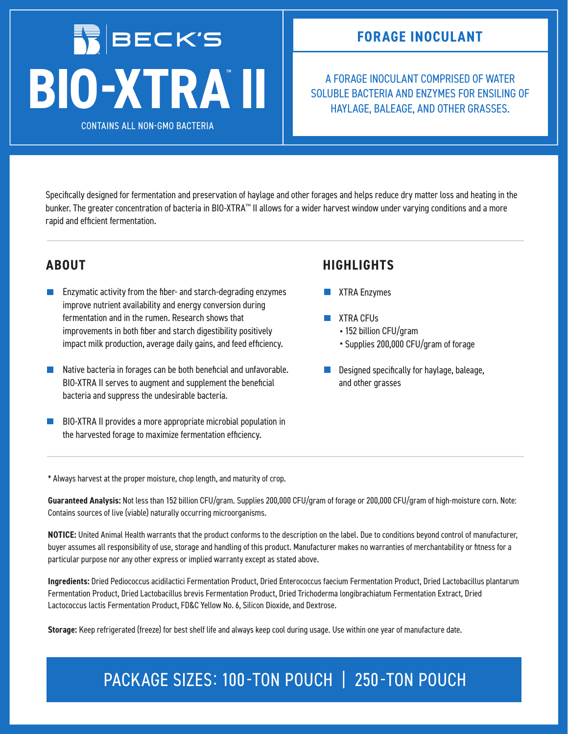## **IN BECK'S BIOXTRA II**

**CONTAINS ALL NON-GMO BACTERIA** 

A FORAGE INOCULANT COMPRISED OF WATER SOLUBLE BACTERIA AND ENZYMES FOR ENSILING OF HAYLAGE, BALEAGE, AND OTHER GRASSES.

Specifically designed for fermentation and preservation of haylage and other forages and helps reduce dry matter loss and heating in the bunker. The greater concentration of bacteria in BIO-XTRA™ II allows for a wider harvest window under varying conditions and a more rapid and efficient fermentation.

- $\mathbb{R}^3$ Enzymatic activity from the fiber- and starch-degrading enzymes improve nutrient availability and energy conversion during fermentation and in the rumen. Research shows that improvements in both fiber and starch digestibility positively impact milk production, average daily gains, and feed efficiency.
- Native bacteria in forages can be both beneficial and unfavorable.  $\mathbb{R}^3$ BIO-XTRA II serves to augment and supplement the beneficial bacteria and suppress the undesirable bacteria.
- BIO-XTRA II provides a more appropriate microbial population in  $\Box$ the harvested forage to maximize fermentation efficiency.

### **ABOUT HIGHLIGHTS**

- **XTRA Enzymes**
- **XTRA CFUs** 
	- 152 billion CFU/gram
	- Supplies 200,000 CFU/gram of forage
- Designed specifically for haylage, baleage, and other grasses

\* Always harvest at the proper moisture, chop length, and maturity of crop.

**Guaranteed Analysis:** Not less than 152 billion CFU/gram. Supplies 200,000 CFU/gram of forage or 200,000 CFU/gram of high-moisture corn. Note: Contains sources of live (viable) naturally occurring microorganisms.

**NOTICE:** United Animal Health warrants that the product conforms to the description on the label. Due to conditions beyond control of manufacturer, buyer assumes all responsibility of use, storage and handling of this product. Manufacturer makes no warranties of merchantability or fitness for a particular purpose nor any other express or implied warranty except as stated above.

**Ingredients:** Dried Pediococcus acidilactici Fermentation Product, Dried Enterococcus faecium Fermentation Product, Dried Lactobacillus plantarum Fermentation Product, Dried Lactobacillus brevis Fermentation Product, Dried Trichoderma longibrachiatum Fermentation Extract, Dried Lactococcus lactis Fermentation Product, FD&C Yellow No. 6, Silicon Dioxide, and Dextrose.

**Storage:** Keep refrigerated (freeze) for best shelf life and always keep cool during usage. Use within one year of manufacture date.

## PACKAGE SIZES: 100-TON POUCH | 250-TON POUCH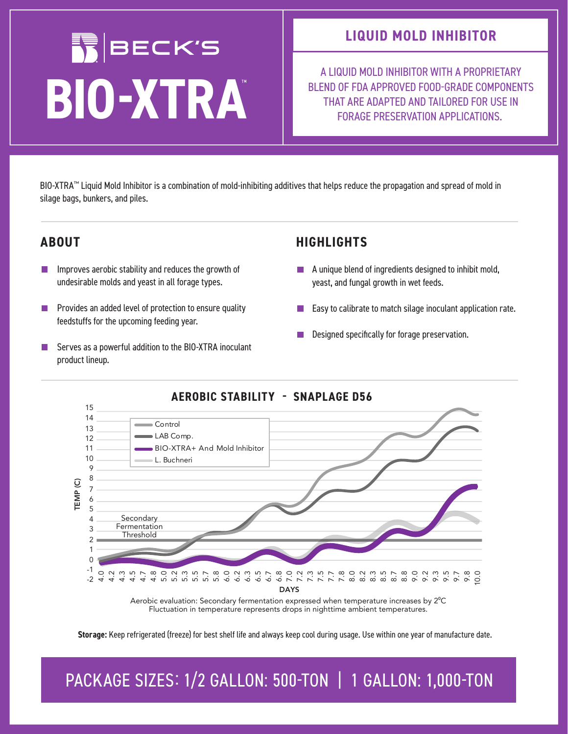# **NBECK'S BIOXTRA**

### **LIQUID MOLD INHIBITOR**

A LIQUID MOLD INHIBITOR WITH A PROPRIETARY BLEND OF FDA APPROVED FOOD-GRADE COMPONENTS THAT ARE ADAPTED AND TAILORED FOR USE IN FORAGE PRESERVATION APPLICATIONS.

BIO-XTRA™ Liquid Mold Inhibitor is a combination of mold-inhibiting additives that helps reduce the propagation and spread of mold in silage bags, bunkers, and piles.

- Improves aerobic stability and reduces the growth of  $\mathbb{R}^n$ undesirable molds and yeast in all forage types.
- **I** Provides an added level of protection to ensure quality feedstuffs for the upcoming feeding year.
- Serves as a powerful addition to the BIO-XTRA inoculant F. product lineup.

#### **ABOUT HIGHLIGHTS**

- **A** unique blend of ingredients designed to inhibit mold, yeast, and fungal growth in wet feeds.
- Easy to calibrate to match silage inoculant application rate.
- Designed specifically for forage preservation.



#### **AEROBIC STABILITY** - **SNAPLAGE D56**

Aerobic evaluation: Secondary fermentation expressed when temperature increases by 2°C Fluctuation in temperature represents drops in nighttime ambient temperatures.

**Storage:** Keep refrigerated (freeze) for best shelf life and always keep cool during usage. Use within one year of manufacture date.

PACKAGE SIZES: 1/2 GALLON: 500-TON | 1 GALLON: 1,000-TON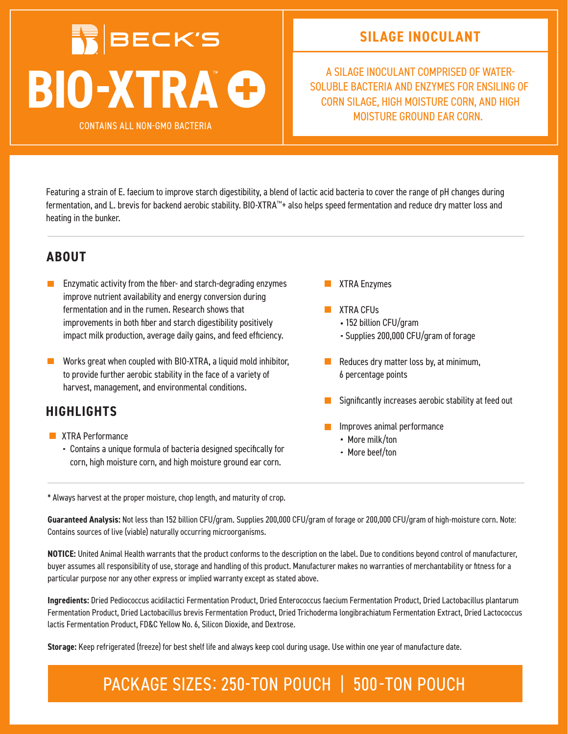## **IN BECK'S BIO-XTRAG**

**CONTAINS ALL NON-GMO BACTERIA** 

**SILAGE INOCULANT**

A SILAGE INOCULANT COMPRISED OF WATER SOLUBLE BACTERIA AND ENZYMES FOR ENSILING OF CORN SILAGE, HIGH MOISTURE CORN, AND HIGH MOISTURE GROUND EAR CORN.

Featuring a strain of E. faecium to improve starch digestibility, a blend of lactic acid bacteria to cover the range of pH changes during fermentation, and L. brevis for backend aerobic stability. BIO-XTRA™+ also helps speed fermentation and reduce dry matter loss and heating in the bunker.

#### **ABOUT**

- **EXA** Enzymatic activity from the fiber- and starch-degrading enzymes improve nutrient availability and energy conversion during fermentation and in the rumen. Research shows that improvements in both fiber and starch digestibility positively impact milk production, average daily gains, and feed efficiency.
- $\mathbb{R}^n$ Works great when coupled with BIO-XTRA, a liquid mold inhibitor, to provide further aerobic stability in the face of a variety of harvest, management, and environmental conditions.

### **HIGHLIGHTS**

- **XTRA Performance** 
	- Contains a unique formula of bacteria designed specifically for corn, high moisture corn, and high moisture ground ear corn.
- XTRA Enzymes
- **XTRA CFUs** 
	- 152 billion CFU/gram
	- Supplies 200,000 CFU/gram of forage
- $\blacksquare$  Reduces dry matter loss by, at minimum, 6 percentage points
- Significantly increases aerobic stability at feed out
- Improves animal performance
	- More milk/ton
	- More beef/ton

\* Always harvest at the proper moisture, chop length, and maturity of crop.

**Guaranteed Analysis:** Not less than 152 billion CFU/gram. Supplies 200,000 CFU/gram of forage or 200,000 CFU/gram of high-moisture corn. Note: Contains sources of live (viable) naturally occurring microorganisms.

**NOTICE:** United Animal Health warrants that the product conforms to the description on the label. Due to conditions beyond control of manufacturer, buyer assumes all responsibility of use, storage and handling of this product. Manufacturer makes no warranties of merchantability or fitness for a particular purpose nor any other express or implied warranty except as stated above.

**Ingredients:** Dried Pediococcus acidilactici Fermentation Product, Dried Enterococcus faecium Fermentation Product, Dried Lactobacillus plantarum Fermentation Product, Dried Lactobacillus brevis Fermentation Product, Dried Trichoderma longibrachiatum Fermentation Extract, Dried Lactococcus lactis Fermentation Product, FD&C Yellow No. 6, Silicon Dioxide, and Dextrose.

**Storage:** Keep refrigerated (freeze) for best shelf life and always keep cool during usage. Use within one year of manufacture date.

### PACKAGE SIZES: 250-TON POUCH | 500-TON POUCH